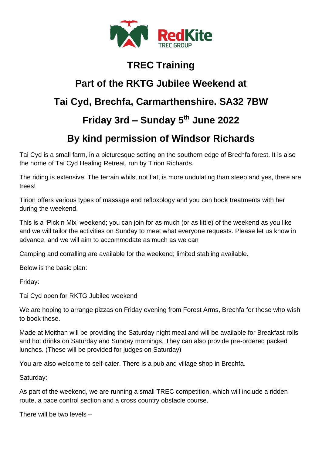

#### **TREC Training**

# **Part of the RKTG Jubilee Weekend at Tai Cyd, Brechfa, Carmarthenshire. SA32 7BW**

## **Friday 3rd – Sunday 5th June 2022**

### **By kind permission of Windsor Richards**

Tai Cyd is a small farm, in a picturesque setting on the southern edge of Brechfa forest. It is also the home of Tai Cyd Healing Retreat, run by Tirion Richards.

The riding is extensive. The terrain whilst not flat, is more undulating than steep and yes, there are trees!

Tirion offers various types of massage and refloxology and you can book treatments with her during the weekend.

This is a 'Pick n Mix' weekend; you can join for as much (or as little) of the weekend as you like and we will tailor the activities on Sunday to meet what everyone requests. Please let us know in advance, and we will aim to accommodate as much as we can

Camping and corralling are available for the weekend; limited stabling available.

Below is the basic plan:

Friday:

Tai Cyd open for RKTG Jubilee weekend

We are hoping to arrange pizzas on Friday evening from Forest Arms, Brechfa for those who wish to book these.

Made at Moithan will be providing the Saturday night meal and will be available for Breakfast rolls and hot drinks on Saturday and Sunday mornings. They can also provide pre-ordered packed lunches. (These will be provided for judges on Saturday)

You are also welcome to self-cater. There is a pub and village shop in Brechfa.

Saturday:

As part of the weekend, we are running a small TREC competition, which will include a ridden route, a pace control section and a cross country obstacle course.

There will be two levels –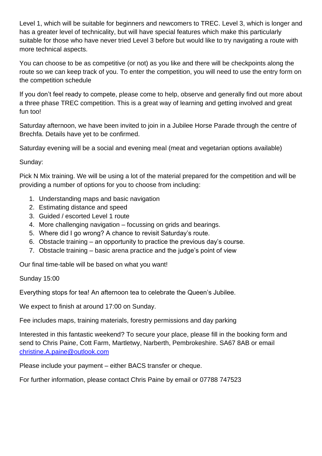Level 1, which will be suitable for beginners and newcomers to TREC. Level 3, which is longer and has a greater level of technicality, but will have special features which make this particularly suitable for those who have never tried Level 3 before but would like to try navigating a route with more technical aspects.

You can choose to be as competitive (or not) as you like and there will be checkpoints along the route so we can keep track of you. To enter the competition, you will need to use the entry form on the competition schedule

If you don't feel ready to compete, please come to help, observe and generally find out more about a three phase TREC competition. This is a great way of learning and getting involved and great fun too!

Saturday afternoon, we have been invited to join in a Jubilee Horse Parade through the centre of Brechfa. Details have yet to be confirmed.

Saturday evening will be a social and evening meal (meat and vegetarian options available)

#### Sunday:

Pick N Mix training. We will be using a lot of the material prepared for the competition and will be providing a number of options for you to choose from including:

- 1. Understanding maps and basic navigation
- 2. Estimating distance and speed
- 3. Guided / escorted Level 1 route
- 4. More challenging navigation focussing on grids and bearings.
- 5. Where did I go wrong? A chance to revisit Saturday's route.
- 6. Obstacle training an opportunity to practice the previous day's course.
- 7. Obstacle training basic arena practice and the judge's point of view

Our final time-table will be based on what you want!

#### Sunday 15:00

Everything stops for tea! An afternoon tea to celebrate the Queen's Jubilee.

We expect to finish at around 17:00 on Sunday.

Fee includes maps, training materials, forestry permissions and day parking

Interested in this fantastic weekend? To secure your place, please fill in the booking form and send to Chris Paine, Cott Farm, Martletwy, Narberth, Pembrokeshire. SA67 8AB or email [christine.A.paine@outlook.com](mailto:christine.A.paine@outlook.com)

Please include your payment – either BACS transfer or cheque.

For further information, please contact Chris Paine by email or 07788 747523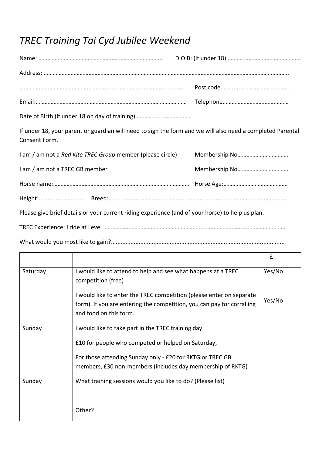## *TREC Training Tai Cyd Jubilee Weekend*

| If under 18, your parent or guardian will need to sign the form and we will also need a completed Parental<br>Consent Form. |  |  |  |
|-----------------------------------------------------------------------------------------------------------------------------|--|--|--|
| I am / am not a Red Kite TREC Group member (please circle)                                                                  |  |  |  |
| I am / am not a TREC GB member                                                                                              |  |  |  |
|                                                                                                                             |  |  |  |
|                                                                                                                             |  |  |  |
| Please give brief details or your current riding experience (and of your horse) to help us plan.                            |  |  |  |
|                                                                                                                             |  |  |  |

What would you most like to gain?..........................................................................................................

|          |                                                                                                                                                                          | £      |
|----------|--------------------------------------------------------------------------------------------------------------------------------------------------------------------------|--------|
| Saturday | I would like to attend to help and see what happens at a TREC<br>competition (free)                                                                                      | Yes/No |
|          | I would like to enter the TREC competition (please enter on separate<br>form). If you are entering the competition, you can pay for corralling<br>and food on this form. | Yes/No |
| Sunday   | I would like to take part in the TREC training day                                                                                                                       |        |
|          | £10 for people who competed or helped on Saturday,                                                                                                                       |        |
|          | For those attending Sunday only - £20 for RKTG or TREC GB                                                                                                                |        |
|          | members, £30 non-members (includes day membership of RKTG)                                                                                                               |        |
| Sunday   | What training sessions would you like to do? (Please list)                                                                                                               |        |
|          | Other?                                                                                                                                                                   |        |